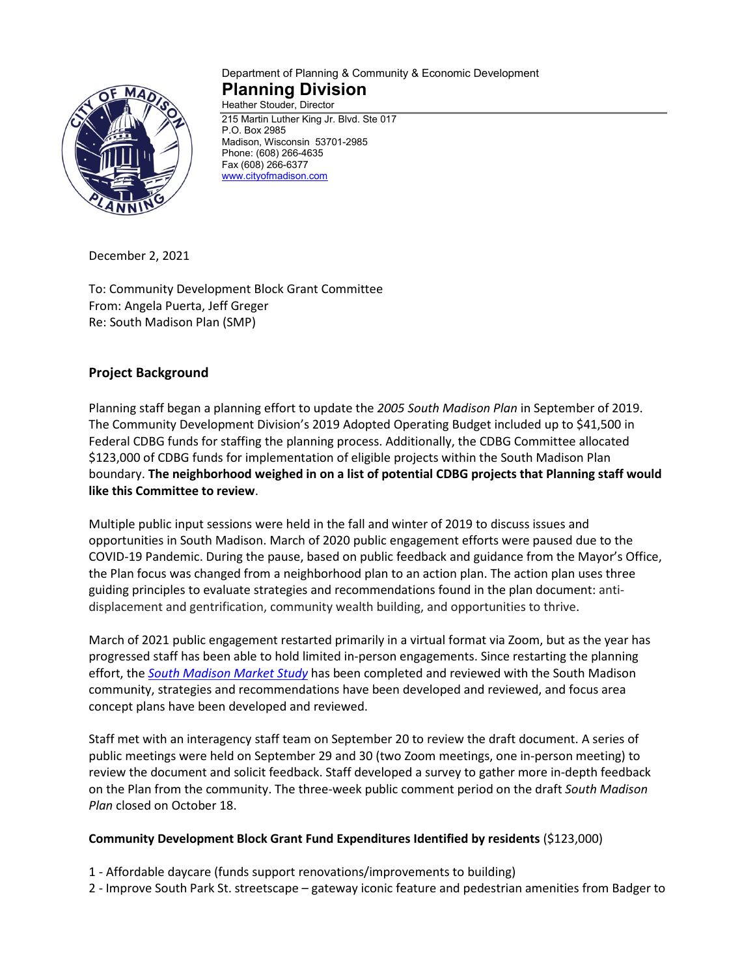

#### Department of Planning & Community & Economic Development **Planning Division** Heather Stouder, Director

215 Martin Luther King Jr. Blvd. Ste 017 P.O. Box 2985 Madison, Wisconsin 53701-2985 Phone: (608) 266-4635 Fax (608) 266-6377 [www.cityofmadison.com](http://www.cityofmadison.com/)

December 2, 2021

To: Community Development Block Grant Committee From: Angela Puerta, Jeff Greger Re: South Madison Plan (SMP)

# **Project Background**

Planning staff began a planning effort to update the *2005 South Madison Plan* in September of 2019. The Community Development Division's 2019 Adopted Operating Budget included up to \$41,500 in Federal CDBG funds for staffing the planning process. Additionally, the CDBG Committee allocated \$123,000 of CDBG funds for implementation of eligible projects within the South Madison Plan boundary. **The neighborhood weighed in on a list of potential CDBG projects that Planning staff would like this Committee to review**.

Multiple public input sessions were held in the fall and winter of 2019 to discuss issues and opportunities in South Madison. March of 2020 public engagement efforts were paused due to the COVID-19 Pandemic. During the pause, based on public feedback and guidance from the Mayor's Office, the Plan focus was changed from a neighborhood plan to an action plan. The action plan uses three guiding principles to evaluate strategies and recommendations found in the plan document: antidisplacement and gentrification, community wealth building, and opportunities to thrive.

March of 2021 public engagement restarted primarily in a virtual format via Zoom, but as the year has progressed staff has been able to hold limited in-person engagements. Since restarting the planning effort, the *[South Madison Market Study](https://www.cityofmadison.com/dpced/planning/documents/South%20Madison%20Market%20Study_V12.pdf)* has been completed and reviewed with the South Madison community, strategies and recommendations have been developed and reviewed, and focus area concept plans have been developed and reviewed.

Staff met with an interagency staff team on September 20 to review the draft document. A series of public meetings were held on September 29 and 30 (two Zoom meetings, one in-person meeting) to review the document and solicit feedback. Staff developed a survey to gather more in-depth feedback on the Plan from the community. The three-week public comment period on the draft *South Madison Plan* closed on October 18.

### **Community Development Block Grant Fund Expenditures Identified by residents** (\$123,000)

- 1 Affordable daycare (funds support renovations/improvements to building)
- 2 Improve South Park St. streetscape gateway iconic feature and pedestrian amenities from Badger to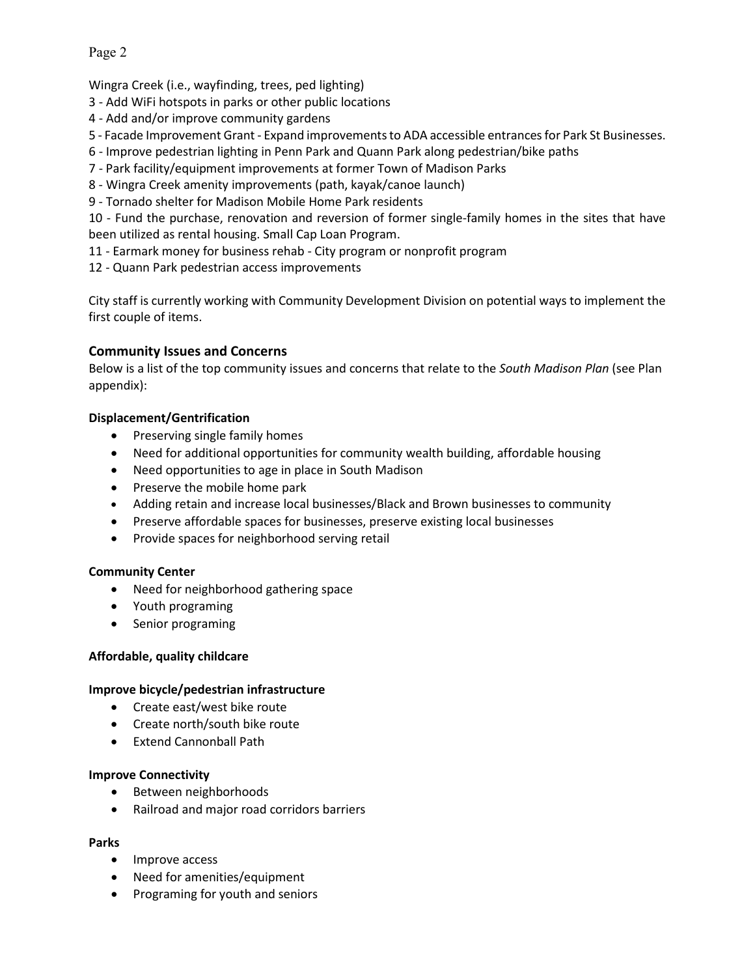Page 2

Wingra Creek (i.e., wayfinding, trees, ped lighting)

- 3 Add WiFi hotspots in parks or other public locations
- 4 Add and/or improve community gardens
- 5 Facade Improvement Grant Expand improvements to ADA accessible entrances for Park St Businesses.
- 6 Improve pedestrian lighting in Penn Park and Quann Park along pedestrian/bike paths
- 7 Park facility/equipment improvements at former Town of Madison Parks
- 8 Wingra Creek amenity improvements (path, kayak/canoe launch)
- 9 Tornado shelter for Madison Mobile Home Park residents

10 - Fund the purchase, renovation and reversion of former single-family homes in the sites that have been utilized as rental housing. Small Cap Loan Program.

- 11 Earmark money for business rehab City program or nonprofit program
- 12 Quann Park pedestrian access improvements

City staff is currently working with Community Development Division on potential ways to implement the first couple of items.

### **Community Issues and Concerns**

Below is a list of the top community issues and concerns that relate to the *South Madison Plan* (see Plan appendix):

### **Displacement/Gentrification**

- Preserving single family homes
- Need for additional opportunities for community wealth building, affordable housing
- Need opportunities to age in place in South Madison
- Preserve the mobile home park
- Adding retain and increase local businesses/Black and Brown businesses to community
- Preserve affordable spaces for businesses, preserve existing local businesses
- Provide spaces for neighborhood serving retail

### **Community Center**

- Need for neighborhood gathering space
- Youth programing
- Senior programing

### **Affordable, quality childcare**

### **Improve bicycle/pedestrian infrastructure**

- Create east/west bike route
- Create north/south bike route
- Extend Cannonball Path

### **Improve Connectivity**

- Between neighborhoods
- Railroad and major road corridors barriers

### **Parks**

- Improve access
- Need for amenities/equipment
- Programing for youth and seniors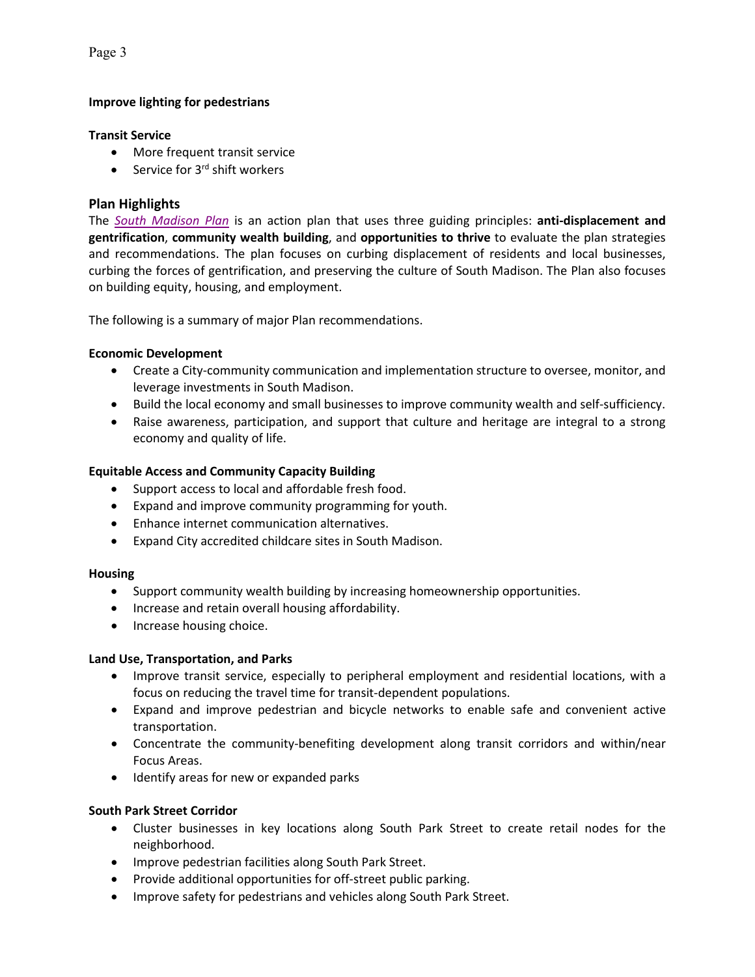Page 3

# **Improve lighting for pedestrians**

### **Transit Service**

- More frequent transit service
- Service for  $3<sup>rd</sup>$  shift workers

### **Plan Highlights**

The *[South Madison Plan](https://madison.legistar.com/View.ashx?M=F&ID=9917126&GUID=B0416AA6-47A9-43E5-AF83-0DF43F2A5656)* is an action plan that uses three guiding principles: **anti-displacement and gentrification**, **community wealth building**, and **opportunities to thrive** to evaluate the plan strategies and recommendations. The plan focuses on curbing displacement of residents and local businesses, curbing the forces of gentrification, and preserving the culture of South Madison. The Plan also focuses on building equity, housing, and employment.

The following is a summary of major Plan recommendations.

## **Economic Development**

- Create a City-community communication and implementation structure to oversee, monitor, and leverage investments in South Madison.
- Build the local economy and small businesses to improve community wealth and self-sufficiency.
- Raise awareness, participation, and support that culture and heritage are integral to a strong economy and quality of life.

## **Equitable Access and Community Capacity Building**

- Support access to local and affordable fresh food.
- Expand and improve community programming for youth.
- Enhance internet communication alternatives.
- Expand City accredited childcare sites in South Madison.

### **Housing**

- Support community wealth building by increasing homeownership opportunities.
- Increase and retain overall housing affordability.
- Increase housing choice.

### **Land Use, Transportation, and Parks**

- Improve transit service, especially to peripheral employment and residential locations, with a focus on reducing the travel time for transit-dependent populations.
- Expand and improve pedestrian and bicycle networks to enable safe and convenient active transportation.
- Concentrate the community-benefiting development along transit corridors and within/near Focus Areas.
- Identify areas for new or expanded parks

### **South Park Street Corridor**

- Cluster businesses in key locations along South Park Street to create retail nodes for the neighborhood.
- Improve pedestrian facilities along South Park Street.
- Provide additional opportunities for off-street public parking.
- Improve safety for pedestrians and vehicles along South Park Street.